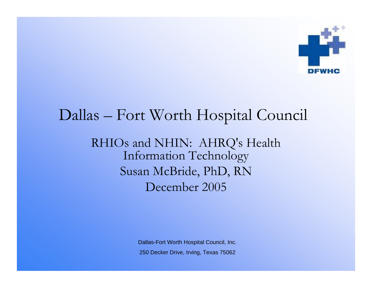

## Dallas – Fort Worth Hospital Council

RHIOs and NHIN: AHRQ's Health Information Technology Susan McBride, PhD, RN December 2005

> Dallas-Fort Worth Hospital Council, Inc. 250 Decker Drive, Irving, Texas 75062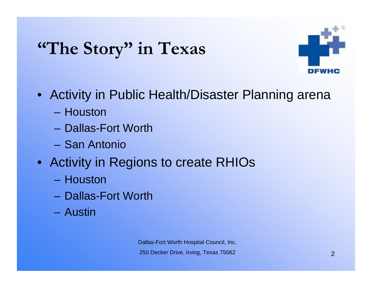# **"The Story" in Texas**



- Activity in Public Health/Disaster Planning arena
	- Houston
	- Dallas-Fort Worth
	- San Antonio
- Activity in Regions to create RHIOs
	- Houston
	- Dallas-Fort Worth
	- Austin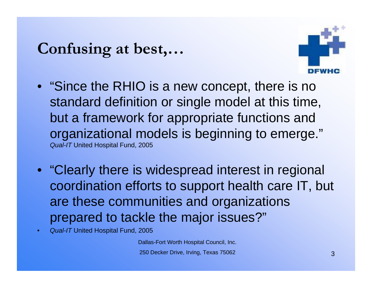## **Confusing at best,…**



- "Since the RHIO is a new concept, there is no standard definition or single model at this time, but a framework for appropriate functions and organizational models is beginning to emerge." *Qual-IT* United Hospital Fund, 2005
- "Clearly there is widespread interest in regional coordination efforts to support health care IT, but are these communities and organizations prepared to tackle the major issues?"
- *Qual-IT* United Hospital Fund, 2005

Dallas-Fort Worth Hospital Council, Inc. 250 Decker Drive, Irving, Texas 75062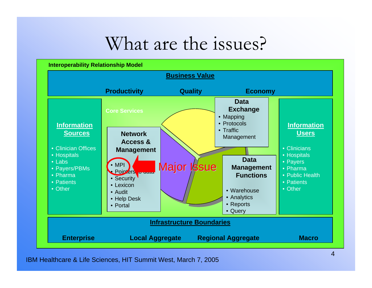## What are the issues?



IBM Healthcare & Life Sciences, HIT Summit West, March 7, 2005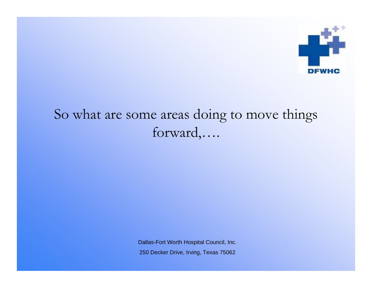

## So what are some areas doing to move things forward,….

Dallas-Fort Worth Hospital Council, Inc. 250 Decker Drive, Irving, Texas 75062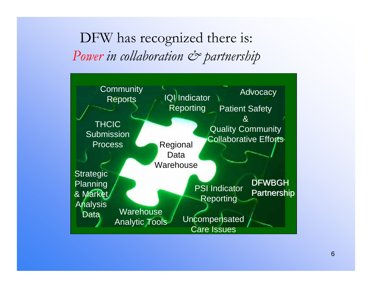DFW has recognized there is: *Power in collaboration*  $\mathcal{Q}$  *partnership* 

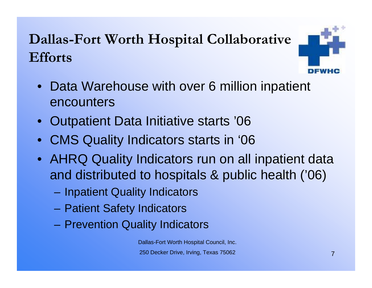## **Dallas-Fort Worth Hospital Collaborative Efforts**



- $\bullet$ Data Warehouse with over 6 million inpatient encounters
- Outpatient Data Initiative starts '06
- CMS Quality Indicators starts in '06
- AHRQ Quality Indicators run on all inpatient data and distributed to hospitals & public health ('06)
	- –Inpatient Quality Indicators
	- –Patient Safety Indicators
	- –Prevention Quality Indicators

Dallas-Fort Worth Hospital Council, Inc. 250 Decker Drive, Irving, Texas 75062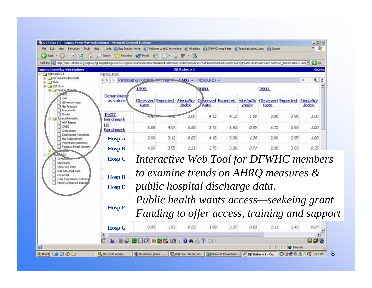|                                                               |                                                                                            |              | <b>IOI Rates v 1</b> |            |       |       |      | Address (e) http://appl.dwkc.org/cognos/cg-bin/ppdscg.exe/DC=Q6nia=Run0ind=6542d:560a0f11d0946cd1020b4930568nic=%2Flimported%25Reports%2FPQC%2SRestes%20r%201%2F532_40235516nh=10bc = | COGNEE          |
|---------------------------------------------------------------|--------------------------------------------------------------------------------------------|--------------|----------------------|------------|-------|-------|------|---------------------------------------------------------------------------------------------------------------------------------------------------------------------------------------|-----------------|
| <b>Lognos PowerPlay Web Explorer</b><br>MEASLIRES             |                                                                                            |              |                      |            |       |       |      |                                                                                                                                                                                       |                 |
| Participating Hospitals<br>$\blacksquare$<br>$+11$            | Participating Hospital                                                                     | <b>LEAST</b> | CABG                 | MEASURES - |       |       |      |                                                                                                                                                                                       | 还<br>1111<br>16 |
|                                                               | 1999                                                                                       |              |                      | 2000       |       |       | 2001 |                                                                                                                                                                                       |                 |
| Denominato<br>as values                                       | Rate                                                                                       |              | Index                | Rate       |       | Index | Rate | Observed Expected Mortality Observed Expected Mortality Observed Expected Mortality                                                                                                   | Index           |
| <b>THCIC</b><br><b>Benchmark</b>                              | 9.95                                                                                       |              | 1.00                 | 4.13       | 4.13. | 1.00  | 3.86 | 3.86                                                                                                                                                                                  | 1.00.           |
| DI<br><b>Benchmark</b>                                        | 3.88                                                                                       | 4.07         | 0.95                 | 3.73       | 3.92  | 0.95  | 3.72 | 3.63                                                                                                                                                                                  | 1.02            |
| Esophageal Resection<br><b>Hosp A</b><br>Pancreabl: Resection | 2.60                                                                                       | 3.12         | 0.83                 | 4.15       | 3.06  | 1.36  | 2.86 | 2.65                                                                                                                                                                                  | 1.08            |
| Pediatric Heart Surgery<br><b>Hosp B</b>                      | 4.66                                                                                       | 3.55         | 1.31                 | 2.75       | 3.95  | 0.71  | 2.86 | 3.83                                                                                                                                                                                  | 0.75            |
|                                                               |                                                                                            |              |                      |            |       |       |      |                                                                                                                                                                                       |                 |
| <b>Hosp C</b>                                                 | Interactive Web Tool for DFWHC members                                                     |              |                      |            |       |       |      |                                                                                                                                                                                       |                 |
| <b>Hosp D</b><br>10W Confidence Indicato                      |                                                                                            |              |                      |            |       |       |      | to examine trends on AHRQ measures &                                                                                                                                                  |                 |
| <b>HIGH Confidence Indica</b><br><b>Hosp E</b>                | public hospital discharge data.                                                            |              |                      |            |       |       |      |                                                                                                                                                                                       |                 |
| <b>Hosp F</b>                                                 | Public health wants access—seekeing grant<br>Funding to offer access, training and support |              |                      |            |       |       |      |                                                                                                                                                                                       |                 |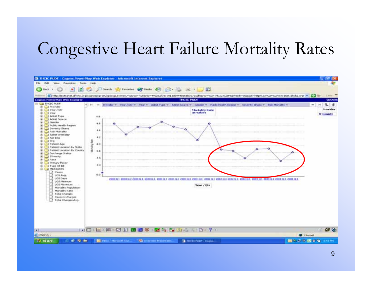## Congestive Heart Failure Mortality Rates

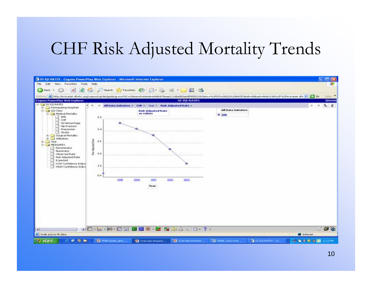## CHF Risk Adjusted Mortality Trends

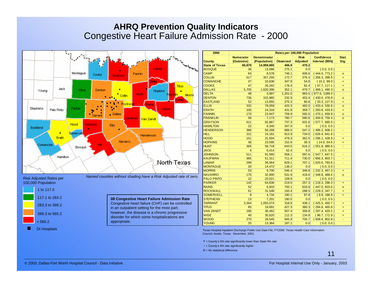|                                  |                     |                                                                   |                     | 2000                                                                                           |                  |                    |                 | Rates per 100,000 Population |                         |           |
|----------------------------------|---------------------|-------------------------------------------------------------------|---------------------|------------------------------------------------------------------------------------------------|------------------|--------------------|-----------------|------------------------------|-------------------------|-----------|
|                                  |                     |                                                                   |                     |                                                                                                | <b>Numerator</b> | <b>Denominator</b> |                 | <b>Risk</b>                  | <b>Confidence</b>       | Stat.     |
|                                  |                     |                                                                   |                     | <b>County</b>                                                                                  | (Outcome)        | (Population)       | <b>Observed</b> | Adjusted                     | Interval (95%)          | Sig.      |
|                                  |                     |                                                                   |                     | <b>State of Texas</b>                                                                          | 60,879           | 14,959,865         | 406.9           | 470.2                        |                         |           |
|                                  |                     | Lamar                                                             | <b>Transferred</b>  | <b>BOSQUE</b>                                                                                  | 36               | 13,086             | 275.1           | 0.0                          | (0.0, 0.0)              |           |
| Montague                         | Cooke               | Fannin                                                            |                     | <b>CAMP</b>                                                                                    | 64               | 8,578              | 746.1           | 608.6                        | (444.0, 773.2)          | $\circ$   |
|                                  |                     | Grayson                                                           |                     | <b>COLLIN</b>                                                                                  | 617              | 357,255            | 172.7           | 376.4                        | (356.3, 396.5)          | $+$       |
|                                  |                     | etta.                                                             |                     | <b>COMANCHE</b>                                                                                | 37               | 10,638             | 347.8           | 54.6                         | (10.2, 99.0)            | $+$       |
|                                  |                     |                                                                   | Titus               | <b>COOKE</b>                                                                                   | 47               | 26,342             | 178.4           | 82.4                         | (47.7, 117.1)           | $\ddot{}$ |
| Jack<br>Wise<br>Young            | Denton              | Hopkins                                                           |                     | <b>DALLAS</b>                                                                                  | 5,705            | 1,620,396          | 352.1           | 479.7                        | (469.1, 490.3)          | $\circ$   |
|                                  |                     | Hunt:<br>Collin                                                   | Franklin,<br>Morris | <b>DELTA</b>                                                                                   | 48               | 3,997              | 1,201.0         |                              | $983.5$ (677.6, 1289.4) |           |
|                                  |                     |                                                                   |                     | <b>DENTON</b>                                                                                  | 736              | 315,985            | 232.9           | 453.4                        | (430.0, 476.8)          | $\circ$   |
|                                  |                     |                                                                   | amo:                | <b>EASTLAND</b>                                                                                | 52               | 13,855             | 375.3           | 80.6                         | (33.3, 127.9)           | $+$       |
|                                  |                     | Rockwa<br>Rains                                                   |                     | <b>ELLIS</b>                                                                                   | 332              | 78,059             | 425.3           | 482.0                        | (433.4, 530.6)          | $\circ$   |
| Stephens<br>Parker<br>Palo Pinto |                     |                                                                   | Wood                | <b>ERATH</b>                                                                                   | 105              | 24,316             | 431.8           | 358.7                        | (283.6, 433.8)          | $+$       |
|                                  | <b>A</b><br>Tarrant | $\blacksquare$ Dallas                                             |                     | <b>FANNIN</b>                                                                                  | 170              | 23,947             | 709.9           | 565.0                        | (470.1, 659.9)          | $\circ$   |
|                                  |                     | Kaufman   <mark>Van Zandt</mark>                                  |                     | <b>FRANKLIN</b>                                                                                | 56               | 7,173              | 780.7           | 580.6                        | (404.8, 756.4)          | $\circ$   |
|                                  |                     |                                                                   |                     | <b>GRAYSON</b>                                                                                 | 611              | 82,867             | 737.3           | 631.6                        | (577.7, 685.5)          |           |
| Hood<br>Eastland                 | Johnson             | <b>Ellis</b>                                                      |                     | <b>HAMILTON</b>                                                                                | 22               | 6,340              | 347.0           | 0.0                          | (0.0, 0.0)              |           |
|                                  |                     |                                                                   |                     | <b>HENDERSON</b>                                                                               | 386              | 56,268             | 686.0           | 547.2                        | (486.2, 608.2)          |           |
| Somervell                        |                     | Henderson                                                         |                     | <b>HILL</b>                                                                                    | 221              | 24,181             | 913.9           | 734.0                        | (626.4, 841.6)          |           |
| Erath                            |                     |                                                                   |                     | <b>HOOD</b>                                                                                    | 151              | 31,504             | 479.3           | 362.5                        | (296.1, 428.9)          | $+$       |
|                                  |                     | Navarro                                                           |                     | <b>HOPKINS</b>                                                                                 | 36               | 23,595             | 152.6           | 39.3                         | (14.0, 64.6)            | $+$       |
| Comanche<br>Bosque               | Hill                |                                                                   |                     | <b>HUNT</b>                                                                                    | 365              | 56,718             | 643.5           | 616.2                        | (551.8, 680.6)          |           |
|                                  |                     |                                                                   |                     | <b>JACK</b>                                                                                    | $\overline{4}$   | 6,414              | 62.4            | 0.0                          | (0.0, 0.0)              |           |
|                                  |                     |                                                                   |                     | <b>JOHNSON</b>                                                                                 | 511              | 91,560             | 558.1           | 597.6                        | (547.7, 647.5)          |           |
| Hamilton                         |                     |                                                                   |                     | <b>KAUFMAN</b>                                                                                 | 365              | 51,311             | 711.4           | 730.0                        | (656.3, 803.7)          |           |
|                                  |                     |                                                                   | .North-Texas        | <b>LAMAR</b>                                                                                   | 299              | 36,064             | 829.1           | 707.1                        | (620.6, 793.6)          |           |
|                                  |                     |                                                                   |                     | <b>MONTAGUE</b>                                                                                | 20               | 14,472             | 138.2           | 0.0                          | (0.0, 0.0)              |           |
|                                  |                     |                                                                   |                     | <b>MORRIS</b>                                                                                  | 53               | 9,700              | 546.4           | 349.8                        | (232.3, 467.3)          | $\ddot{}$ |
|                                  |                     | Named counties without shading have a Risk Adjusted rate of zero. |                     | <b>NAVARRO</b>                                                                                 | 175              | 32,900             | 531.9           | 418.6                        | (348.8, 488.4)          | $\circ$   |
| <b>Risk Adjusted Rates per</b>   |                     |                                                                   |                     | <b>PALO PINTO</b>                                                                              | 22               | 20,021             | 109.9           | 0.0                          | (0.0, 0.0)              |           |
| 100,000 Population               |                     |                                                                   |                     | <b>PARKER</b>                                                                                  | $142$            | 64,836             | 219.0           | 257.3                        | (218.3, 296.3)          | $\ddot{}$ |
|                                  |                     |                                                                   |                     | <b>RAINS</b>                                                                                   | 52               | 6,933              | 750.1           | 633.8                        | (447.0, 820.6)          | $\circ$   |
| 1 to 117.0                       |                     |                                                                   |                     | <b>ROCKWALL</b>                                                                                | 61               | 31,548             | 193.4           | 288.5                        | (229.3, 347.7)          | $+$       |
|                                  |                     |                                                                   |                     | <b>SOMERVELL</b>                                                                               | $\mathbf{g}$     | 4,734              | 190.1           | 97.8                         | (8.8, 186.8)            | $+$       |
| 117.1 to 283.2                   |                     | 08 Congestive Heart Failure Admission Rate                        |                     | <b>STEPHENS</b>                                                                                | 13               | 7,201              | 180.5           | 0.0                          | (0.0, 0.0)              |           |
| 283.3 to 399.2                   |                     | Congestive heart failure (CHF) can be controlled                  |                     | <b>TARRANT</b>                                                                                 | 3,364            | 1,055,074          | 318.8           | 438.1                        | (425.5, 450.7)          | $+$       |
|                                  |                     | in an outpatient setting for the most part;                       |                     | <b>TITUS</b>                                                                                   | 85               | 19,891             | 427.3           | 380.3                        | (294.8, 465.8)          | $+$       |
|                                  |                     | however, the disease is a chronic progressive                     |                     | <b>VAN ZANDT</b>                                                                               | 185              | 36,462             | 507.4           | 358.8                        | (297.4, 420.2)          | $+$       |
| 399.3 to 565.2                   |                     | disorder for which some hospitalizations are                      |                     | <b>WISE</b>                                                                                    | 40               | 35,620             | 112.3           | 134.8                        | (96.7, 172.9)           | $+$       |
|                                  |                     |                                                                   |                     | <b>WOOD</b>                                                                                    | 270              | 28,545             | 945.9           | 705.7                        | (608.6, 802.8)          |           |
| > 565.2                          |                     | appropriate.                                                      |                     | <b>YOUNG</b>                                                                                   | 25               | 13,364             | 187.1           | 0.0                          | (0.0, 0.0)              |           |
| <b>DI Hospitals</b>              |                     |                                                                   |                     | Texas Hospital Inpatient Discharge Public Use Date File, FY2000. Texas Health Care Information |                  |                    |                 |                              |                         |           |

Council, Austin, Texas. December, 2001.

+ = County's RA rate significantly lower than State RA rate

- = County's RA rate significantly higher
- o = No statistical difference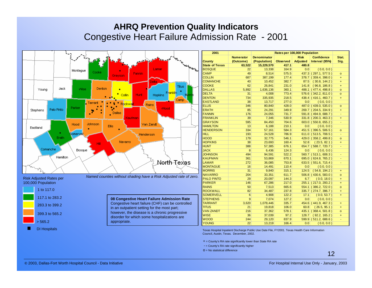|                                |            |           |         |                                                                   |                  |                  | 2001                                                                                           |                  |                    |          | Rates per 100,000 Population |                        |          |
|--------------------------------|------------|-----------|---------|-------------------------------------------------------------------|------------------|------------------|------------------------------------------------------------------------------------------------|------------------|--------------------|----------|------------------------------|------------------------|----------|
|                                |            |           |         |                                                                   |                  |                  |                                                                                                | <b>Numerator</b> | <b>Denominator</b> |          | <b>Risk</b>                  | <b>Confidence</b>      | Stat.    |
|                                |            |           |         |                                                                   |                  |                  | <b>County</b>                                                                                  | (Outcome)        | (Population)       | Observed | <b>Adjusted</b>              | Interval (95%)         | Sig.     |
|                                |            |           |         |                                                                   |                  |                  | <b>State of Texas</b>                                                                          | 63,522           | 15,229,570         | 417.1    | 480.8                        |                        |          |
|                                |            | Montague  |         |                                                                   | Lamar            | <b>CALL CALL</b> | <b>BOSQUE</b>                                                                                  | 22               | 13,338             | 164.9    | 0.0                          | (0.0, 0.0)             |          |
|                                |            |           | Cooke   | Fannini<br>Grayson                                                |                  |                  | <b>CAMP</b>                                                                                    | 49               | 8,514              | 575.5    |                              | 437.3 (297.1, 577.5)   | $\circ$  |
|                                |            |           |         |                                                                   |                  |                  | <b>COLLIN</b>                                                                                  | 687              | 387,199            | 177.4    |                              | 378.7 (359.4, 398.0)   | $+$      |
|                                |            |           |         |                                                                   |                  |                  | <b>COMANCHE</b>                                                                                | 40               | 10,452             | 382.7    |                              | 87.5 (30.8, 144.2)     | $+$      |
|                                |            |           |         |                                                                   |                  | <b>Titus</b>     | <b>COOKE</b>                                                                                   | 62               | 26,841             | 231.0    |                              | $141.8$ (96.8, 186.8)  | $+$      |
| Young                          | Jack       | Wise      | Denton  |                                                                   |                  |                  | <b>DALLAS</b>                                                                                  | 5,892            | 1,636,136          | 360.1    |                              | 488.1 (477.4, 498.8)   | $\Omega$ |
|                                |            |           |         | Hunt<br>Collin                                                    | Hopkins          |                  | <b>DELTA</b>                                                                                   | 31               | 4,008              | 773.4    |                              | $576.6$ (342.2, 811.0) | $\circ$  |
|                                |            |           |         |                                                                   |                  | Camp             | <b>DENTON</b>                                                                                  | 734              | 335,935            | 218.5    |                              | 438.4 (416.1, 460.7)   | $+$      |
|                                |            |           | Tarrant |                                                                   |                  |                  | <b>EASTLAND</b>                                                                                | 38               | 13,717             | 277.0    | 0.0                          | (0.0, 0.0)             |          |
|                                |            | Parker    |         |                                                                   | Rains<br>Wood    |                  | <b>ELLIS</b>                                                                                   | 346              | 80,840             | 428.0    |                              | 487.0 (439.0, 535.0)   | $\circ$  |
| Stephens                       | Palo Pinto |           |         |                                                                   |                  |                  | <b>ERATH</b>                                                                                   | 85               | 24,291             | 349.9    |                              | 269.7 (204.5, 334.9)   | $+$      |
|                                |            |           |         | Dallas                                                            |                  |                  | <b>FANNIN</b>                                                                                  | 176              | 24,055             | 731.7    |                              | 591.8 (494.9, 688.7)   |          |
|                                |            |           |         | Kaufman                                                           |                  |                  | <b>FRANKLIN</b>                                                                                | 39               | 7,346              | 530.9    |                              | $331.8$ (200.3, 463.3) | $+$      |
|                                |            |           | Johnson |                                                                   |                  |                  | <b>GRAYSON</b>                                                                                 | 595              | 84,450             | 704.6    |                              | $603.0$ (550.8, 655.2) |          |
| Eastland                       |            | Hood      |         | <b>Ellis</b>                                                      | Van Zandt        |                  | <b>HAMILTON</b>                                                                                | 13               | 6,188              | 210.1    | 0.0                          | (0.0, 0.0)             |          |
|                                |            |           |         |                                                                   |                  |                  | <b>HENDERSON</b>                                                                               | 334              | 57,161             | 584.3    |                              | 451.5 (396.5, 506.5)   | $\circ$  |
|                                |            | Somervell |         |                                                                   | <b>Henderson</b> |                  | <b>HILL</b>                                                                                    | 193              | 24,528             | 786.9    |                              | $611.0$ (513.5, 708.5) |          |
|                                | Erath      |           |         |                                                                   |                  |                  | <b>HOOD</b>                                                                                    | 179              | 32,775             | 546.1    |                              | 429.0 (358.2, 499.8)   | $\circ$  |
|                                |            |           | Hill    | Navarro                                                           |                  |                  | <b>HOPKINS</b>                                                                                 | 38               | 23,693             | 160.4    | 52.8                         | (23.5, 82.1)           | $+$      |
|                                |            |           |         |                                                                   |                  |                  | <b>HUNT</b>                                                                                    | 388              | 57,385             | 676.1    |                              | 654.7 (588.7, 720.7)   |          |
| Comanche                       |            | Bosque    |         |                                                                   |                  |                  | <b>JACK</b>                                                                                    | 8 <sup>1</sup>   | 6,436              | 124.3    | 0.0                          | (0.0, 0.0)             |          |
|                                |            |           |         |                                                                   |                  |                  | <b>JOHNSON</b>                                                                                 | 494              | 94,591             | 522.2    |                              | $560.7$ (513.1, 608.3) |          |
|                                | Hamilton   |           |         |                                                                   |                  |                  | <b>KAUFMAN</b>                                                                                 | 361              | 53,869             | 670.1    |                              | $695.0$ (624.8, 765.2) |          |
|                                |            |           |         |                                                                   |                  | .Nortĥ-Tex̀as    | <b>LAMAR</b>                                                                                   | 272              | 36,085             | 753.8    |                              | $633.5$ (551.6, 715.4) |          |
|                                |            |           |         |                                                                   |                  |                  | <b>MONTAGUE</b>                                                                                | 16               | 14,491             | 110.4    | 0.0                          | (0.0, 0.0)             |          |
|                                |            |           |         |                                                                   |                  |                  | <b>MORRIS</b>                                                                                  | 31               | 9,840              | 315.1    | 124.5                        | (54.8, 194.2)          | $+$      |
|                                |            |           |         |                                                                   |                  |                  | <b>NAVARRO</b>                                                                                 | 204              | 33,351             | 611.7    |                              | $506.8$ (430.6, 583.0) | $\Omega$ |
| <b>Risk Adjusted Rates per</b> |            |           |         | Named counties without shading have a Risk Adjusted rate of zero. |                  |                  | <b>PALO PINTO</b>                                                                              | 29               | 20,097             | 144.3    | 6.7                          | (0.0, 18.0)            | $+$      |
| 100,000 Population             |            |           |         |                                                                   |                  |                  | <b>PARKER</b>                                                                                  | 146              | 67,286             | 217.0    |                              | 255.1 (217.0, 293.2)   | $+$      |
|                                |            |           |         |                                                                   |                  |                  | <b>RAINS</b>                                                                                   | 50               | 7,513              | 665.6    |                              | $554.1$ (386.2, 722.0) | $\circ$  |
| 1 to 117.0                     |            |           |         |                                                                   |                  |                  | <b>ROCKWALL</b>                                                                                | 82               | 34,487             | 237.8    |                              | 335.7 (274.7, 396.7)   | $+$      |
|                                |            |           |         |                                                                   |                  |                  | <b>SOMERVELL</b>                                                                               | 6                | 4,908              | 122.2    | 17.1                         | (0.0, 53.7)            | $+$      |
| 117.1 to 283.2                 |            |           |         | 08 Congestive Heart Failure Admission Rate                        |                  |                  | <b>STEPHENS</b>                                                                                | 9                | 7,074              | 127.2    | 0.0                          | (0.0, 0.0)             |          |
|                                |            |           |         | Congestive heart failure (CHF) can be controlled                  |                  |                  | <b>TARRANT</b>                                                                                 | 3,620            | 1,078,446          | 335.7    |                              | 454.6 (441.9, 467.3)   | $+$      |
| 283.3 to 399.2                 |            |           |         | in an outpatient setting for the most part;                       |                  |                  | <b>TITUS</b>                                                                                   | 21               | 19,818             | 106.0    | 60.8                         | (26.5, 95.1)           | $+$      |
|                                |            |           |         |                                                                   |                  |                  | <b>VAN ZANDT</b>                                                                               | 216              | 37,362             | 578.1    |                              | 435.1 (368.4, 501.8)   | $\circ$  |
| 399.3 to 565.2                 |            |           |         | however, the disease is a chronic progressive                     |                  |                  | <b>WISE</b>                                                                                    | 36               | 37,039             | 97.2     |                              | $128.7$ (92.2, 165.2)  | $+$      |
|                                |            |           |         | disorder for which some hospitalizations are                      |                  |                  | <b>WOOD</b>                                                                                    | 244              | 29,120             | 837.9    |                              | $599.9$ (511.2, 688.6) |          |
| > 565.2                        |            |           |         | appropriate.                                                      |                  |                  | <b>YOUNG</b>                                                                                   | 22               | 13,219             | 166.4    | 0.0                          | (0.0, 0.0)             |          |
| <b>DI Hospitals</b>            |            |           |         |                                                                   |                  |                  | Texas Hospital Inpatient Discharge Public Use Date File, FY2001, Texas Health Care Information |                  |                    |          |                              |                        |          |

Texas Hospital Inpatient Discharge Public Use Date File, FY2001. Texas Health Care Information Council, Austin, Texas. December, 2002.

- + = County's RA rate significantly lower than State RA rate
- = County's RA rate significantly higher
- o = No statistical difference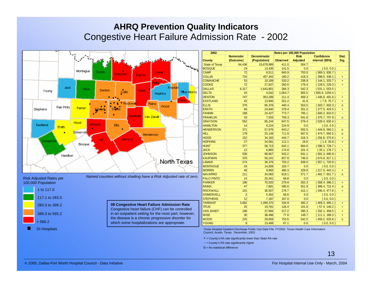|                                |            |          |                               |                                                      |                                                                   | 2002                  |                  |                                                                                                |                 | Rates per 100,000 Population |                   |         |
|--------------------------------|------------|----------|-------------------------------|------------------------------------------------------|-------------------------------------------------------------------|-----------------------|------------------|------------------------------------------------------------------------------------------------|-----------------|------------------------------|-------------------|---------|
|                                |            |          |                               |                                                      |                                                                   |                       | <b>Numerator</b> | <b>Denominator</b>                                                                             |                 | <b>Risk</b>                  | <b>Confidence</b> | Stat.   |
|                                |            |          |                               |                                                      |                                                                   | <b>County</b>         | (Outcome)        | (Population)                                                                                   | <b>Observed</b> | <b>Adjusted</b>              | Interval (95%)    | Sig.    |
|                                |            |          |                               |                                                      |                                                                   | <b>State of Texas</b> | 64,436           | 15,678,989                                                                                     | 411.0           | 504.7                        |                   |         |
|                                |            |          |                               |                                                      | <b>Belgium</b>                                                    | <b>BOSQUE</b>         | 19               | 13,430                                                                                         | 141.5           | 0.0                          | (0.0, 0.0)        |         |
|                                |            | Montague | Cooke <sup>®</sup><br>Grayson | Lamar                                                |                                                                   | <b>CAMP</b>           | 72               | 8,511                                                                                          | 845.9           | 753.0                        | (569.3, 936.7)    |         |
|                                |            |          |                               | Fannini                                              |                                                                   | <b>COLLIN</b>         | 734              | 407,343                                                                                        | 180.2           | 418.3                        | (398.5, 438.1)    |         |
|                                |            |          |                               |                                                      |                                                                   | <b>COMANCHE</b>       | 53               | 10,189                                                                                         | 520.2           | 238.9                        | (144.1, 333.7)    | $+$     |
|                                |            |          |                               |                                                      |                                                                   | <b>COOKE</b>          | 72               | 27,637                                                                                         | 260.5           | 179.4                        | (129.5, 229.3)    | $+$     |
| Young                          | Jack       | Wise     | Denton                        | <b>Hunt</b>                                          | Franklin                                                          | <b>DALLAS</b>         | 6,317            | 1,643,801                                                                                      | 384.3           | 542.3                        | (531.1, 553.5)    |         |
|                                |            |          | Collin                        | <b>Hopkins</b>                                       | Titus Morris                                                      | DELTA                 | 43               | 4,042                                                                                          | 1,063.7         | 955.5                        | (655.6, 1255.4)   |         |
|                                |            |          |                               |                                                      |                                                                   | <b>DENTON</b>         | 747              | 353,299                                                                                        | 211.4           | 469.3                        | (446.8, 491.8)    | $+$     |
|                                |            |          |                               |                                                      | Camp                                                              | <b>EASTLAND</b>       | 42               | 13,945                                                                                         | 301.2           | 41.8                         | (7.9, 75.7)       | $+$     |
|                                |            |          | Rockwal                       | <b>Rains</b>                                         | Wood                                                              | <b>ELLIS</b>          | 376              | 85,378                                                                                         | 440.4           | 553.5                        | (503.7, 603.3)    | $\circ$ |
| Stephens                       | Palo Pinto | Parker   | Dallas                        |                                                      |                                                                   | <b>ERATH</b>          | 94               | 24,840                                                                                         | 378.4           | 351.0                        | (277.5, 424.5)    | $+$     |
|                                |            |          |                               |                                                      |                                                                   | <b>FANNIN</b>         | 189              | 24,427                                                                                         | 773.7           | 705.1                        | (600.2, 810.0)    |         |
|                                |            |          |                               | Kaufman Van Zandt                                    |                                                                   | <b>FRANKLIN</b>       | 53               | 7.503                                                                                          | 706.3           | 541.8                        | (375.7, 707.9)    | $\circ$ |
|                                |            | Hood     |                               |                                                      |                                                                   | <b>GRAYSON</b>        | 552              | 85,244                                                                                         | 647.5           | 579.4                        | (528.4, 630.4)    |         |
| Eastland                       | Erath      | lohnson. | <b>Ellis</b>                  |                                                      |                                                                   | <b>HAMILTON</b>       | 14               | 6,224                                                                                          | 224.9           | 0.0                          | (0.0, 0.0)        |         |
|                                |            |          |                               |                                                      |                                                                   | <b>HENDERSON</b>      | 371              | 57,676                                                                                         | 643.2           | 502.5                        | (444.8, 560.2)    | $\circ$ |
|                                | п          | Somervel |                               | Henderson                                            |                                                                   | <b>HILL</b>           | 179              | 25,148                                                                                         | 711.8           | 567.6                        | (474.7, 660.5)    | $\circ$ |
|                                |            |          |                               |                                                      |                                                                   | <b>HOOD</b>           | 152              | 34,183                                                                                         | 444.7           | 316.3                        | (256.8, 375.8)    | $+$     |
| :omanch                        |            |          | Navarro<br>Hill               |                                                      |                                                                   | <b>HOPKINS</b>        | 27               | 24,081                                                                                         | 112.1           | 18.6                         | (1.4, 35.8)       | $+$     |
|                                |            | Bosque   |                               |                                                      |                                                                   | <b>HUNT</b>           | 377              | 58,713                                                                                         | 642.1           | 664.0                        | (598.3, 729.7)    |         |
|                                |            |          |                               |                                                      |                                                                   | <b>JACK</b>           | 12               | 6,865                                                                                          | 174.8           | 101.4                        | (26.1, 176.7)     | $+$     |
|                                |            |          |                               |                                                      |                                                                   | <b>JOHNSON</b>        | 536              | 98,667                                                                                         | 543.2           | 641.1                        | (591.3, 690.9)    |         |
|                                | Hamilton   |          |                               |                                                      |                                                                   | KAUFMAN               | 370              | 56,241                                                                                         | 657.9           | 746.0                        | (674.9, 817.1)    |         |
|                                |            |          |                               |                                                      | .Ne <del>rth</del> -Texas                                         | <b>LAMAR</b>          | 274              | 36,376                                                                                         | 753.2           | 639.0                        | (557.1, 720.9)    |         |
|                                |            |          |                               |                                                      |                                                                   | <b>MONTAGUE</b>       | 24               | 14,659                                                                                         | 163.7           | 0.0                          | (0.0, 0.0)        |         |
|                                |            |          |                               |                                                      |                                                                   | <b>MORRIS</b>         | 48               | 9,993                                                                                          | 480.3           | 329.9                        | (217.5, 442.3)    | $+$     |
|                                |            |          |                               |                                                      |                                                                   | <b>NAVARRO</b>        | 211              | 34,083                                                                                         | 619.1           | 571.7                        | (491.7, 651.7)    | $\circ$ |
| <b>Risk Adjusted Rates per</b> |            |          |                               |                                                      | Named counties without shading have a Risk Adjusted rate of zero. | <b>PALO PINTO</b>     | 14               | 20,341                                                                                         | 68.8            | 0.0                          | (0.0, 0.0)        |         |
| 100,000 Population             |            |          |                               |                                                      |                                                                   | <b>PARKER</b>         | 196              | 70,020                                                                                         | 279.9           | 352.3                        | (308.4, 396.2)    | $+$     |
|                                |            |          |                               |                                                      |                                                                   | <b>RAINS</b>          | 47               | 7,891                                                                                          | 595.6           | 551.9                        | (388.4, 715.4)    | $\circ$ |
| 1 to 117.0                     |            |          |                               |                                                      |                                                                   | <b>ROCKWALL</b>       | $101$            | 36,507                                                                                         | 276.7           | 412.1                        | (346.4, 477.8)    | $+$     |
|                                |            |          |                               |                                                      |                                                                   | <b>SOMERVELL</b>      | 3 <sup>1</sup>   | 5,302                                                                                          | 56.6            | 0.0                          | (0.0, 0.0)        |         |
| 117.1 to 283.0                 |            |          |                               |                                                      |                                                                   | <b>STEPHENS</b>       | 12               | 7,187                                                                                          | 167.0           | 0.0                          | (0.0, 0.0)        |         |
|                                |            |          |                               |                                                      |                                                                   | <b>TARRANT</b>        | 3,682            | 1,099,370                                                                                      | 334.9           | 482.2                        | (469.3, 495.1)    | $+$     |
| 283.3 to 399.2                 |            |          |                               | 08 Congestive Heart Failure Admission Rate           |                                                                   | <b>TITUS</b>          | 25               | 19,781                                                                                         | 126.4           | 101.8                        | (57.4, 146.2)     | $+$     |
|                                |            |          |                               | Congestive heart failure (CHF) can be controlled     |                                                                   | <b>VAN ZANDT</b>      | 196              | 37,894                                                                                         | 517.2           | 395.3                        | (332.1, 458.5)    | $+$     |
| 399.3 to 565.2                 |            |          |                               | in an outpatient setting for the most part; however, |                                                                   | <b>WISE</b>           | 30 <sup>°</sup>  | 38,498                                                                                         | 77.9            | 149.7                        | (111.1, 188.3)    | $+$     |
|                                |            |          |                               | the disease is a chronic progressive disorder for    |                                                                   | <b>WOOD</b>           | 225              | 29,859                                                                                         | 753.5           | 542.5                        | (459.2, 625.8)    | $\circ$ |
| > 565.2                        |            |          |                               | which some hospitalizations are appropriate.         |                                                                   | <b>YOUNG</b>          | $\overline{9}$   | 13,408                                                                                         | 67.1            | 0.0                          | (0.0, 0.0)        |         |
|                                |            |          |                               |                                                      |                                                                   |                       |                  |                                                                                                |                 |                              |                   |         |
| <b>DI Hospitals</b>            |            |          |                               |                                                      |                                                                   |                       |                  | Texas Hospital Inpatient Discharge Public Use Date File, FY2002. Texas Health Care Information |                 |                              |                   |         |

Council, Austin, Texas. December, 2003.

+ = County's RA rate significantly lower than State RA rate

- = County's RA rate significantly higher

o = No statistical difference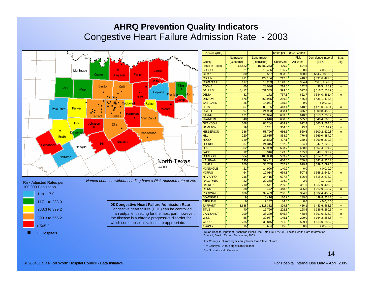|                                | 240           |             |              |                           |                                                                   |              | 2003 (PQI 08)         |                 |              |                 | Rates per 100,000 Cases |                     |          |
|--------------------------------|---------------|-------------|--------------|---------------------------|-------------------------------------------------------------------|--------------|-----------------------|-----------------|--------------|-----------------|-------------------------|---------------------|----------|
|                                |               |             |              |                           |                                                                   |              |                       | Numerator       | Denominator  |                 | <b>Risk</b>             | Confidence Interval | Stat.    |
|                                |               |             |              |                           |                                                                   |              | County                | (Outcome)       | (Population) | <b>Observed</b> | Adjusted                | (95%)               | Sig.     |
|                                |               |             |              |                           |                                                                   | <b>Sugar</b> | <b>State of Texas</b> | 66,822          | 15,882,253   | 420.7           | 504.5                   |                     |          |
|                                | Montague      |             |              |                           | Lamar                                                             |              | <b>BOSQUE</b>         | 21              | 13,486       | 155.7           | 0.0                     | (0.0, 0.0)          |          |
|                                |               | Cooke       | Grayson      | Fannin,                   |                                                                   |              | <b>CAMP</b>           | 80              | 8,567        | 933.8           | 860.3                   | 664.7, 1055.9       |          |
|                                |               |             |              |                           |                                                                   |              | <b>COLLIN</b>         | 911             | 429,184      | 212.3           | 410.7                   | (391.6, 429.8)      | $+$      |
|                                |               |             |              |                           | Delta:                                                            |              | <b>COMANCHE</b>       | 117             | 10,233       | 1,143.3         | 954.4                   | (766.0, 1142.8)     |          |
| Jack                           |               | Denton      | Collin       |                           |                                                                   | Titus        | <b>COOKE</b>          | 60              | 28,036       | 214.0           | 142.7                   | (98.5, 186.9)       | $+$      |
|                                | Wise          |             |              | $\blacksquare$            | Hopkins                                                           |              | <b>DALLAS</b>         | 6,412           | 1,631,345    | 393.0           | 527.8                   | (516.7, 538.9)      |          |
|                                |               |             |              | Hunt                      | Franklin                                                          |              | <b>DELTA</b>          | 32              | 4.172        | 767.1           | 622.7                   | (384.0, 861.4)      | $\Omega$ |
|                                |               |             |              |                           |                                                                   | amt          | <b>DENTON</b>         | 876             | 369,935      | 236.8           | 456.8                   | (435.1, 478.5)      | $+$      |
|                                |               |             | Rockwal      |                           | <i>l</i> Rainsi                                                   |              | <b>EASTLAND</b>       | 26              | 14,031       | 185.3           | 0.0                     | (0.0, 0.0)          |          |
| Palo Pinto                     | Parker        |             |              |                           | Wood                                                              |              | <b>ELLIS</b>          | 367             | 88,785       | 413.4           | 518.2                   | (471.0, 565.4)      | $\circ$  |
|                                |               | Đ           |              |                           |                                                                   |              | <b>ERATH</b>          | 97              | 24,993       | 388.7           | 376.7                   | (300.8, 452.6)      | $+$      |
|                                |               | Tarrant     | Dallas       | Kaufman<br>$\blacksquare$ |                                                                   |              | <b>FANNIN</b>         | 171             | 25,024       | 683.3           | 610.2                   | (513.7, 706.7)      |          |
|                                |               |             |              |                           | Van Zandt                                                         |              | <b>FRANKLIN</b>       | 48              | 7.616        | 630.3           | 505.7                   | (346.4, 665.0)      | $\Omega$ |
|                                | Hood          | Johnson     | <b>Ellis</b> |                           |                                                                   |              | <b>GRAY SON</b>       | 568             | 86,204       | 658.9           | 612.4                   | (560.3, 664.5)      |          |
|                                |               |             |              |                           |                                                                   |              | <b>HAMILTON</b>       | 19              | 6,241        | 304.4           | 23.7                    | (0.0, 61.9)         | $+$      |
| п                              |               |             |              | Henderson                 |                                                                   |              | <b>HENDERSON</b>      | 386             | 58,796       | 656.5           | 560.5                   | (500.2, 620.8)      | $\circ$  |
| Erath                          |               |             |              |                           |                                                                   |              | <b>HILL</b>           | 220             | 25,615       | 858.9           | 776.5                   | (669.0, 884.0)      |          |
|                                |               |             | Navarro      |                           |                                                                   |              | <b>HOOD</b>           | 149             | 34.883       | 427.1           | 330.1                   | (269.9, 390.3)      | $+$      |
| Comanche                       |               | <b>Hill</b> |              |                           |                                                                   |              | <b>HOPKINS</b>        | 37              | 24,315       | 152.2           | 84.1                    | (47.7, 120.5)       | $+$      |
|                                | <b>Bosque</b> |             |              |                           |                                                                   |              | <b>HUNT</b>           | 362             | 59,959       | 603.7           | 630.8                   | (567.4, 694.2)      |          |
|                                |               |             |              |                           |                                                                   |              | <b>JACK</b>           | 12              | 6,916        | 173.5           | 135.9                   | (49.1, 222.7)       | $+$      |
| Hamilton                       |               |             |              |                           |                                                                   |              | <b>JOHNSON</b>        | 564             | 100,860      | 559.2           | 664.9                   | (614.7, 715.1)      |          |
|                                |               |             |              |                           | .North-Texas                                                      |              | <b>KAUFMAN</b>        | 390             | 59,40'       | 656.6           | 750.8                   | (681.4, 820.2)      |          |
|                                |               |             |              |                           | <b>PQI 08</b>                                                     |              | <b>LAMAR</b>          | 260             | 36,763       | 707.2           | 619.4                   | (539.2, 699.6)      | ÷.       |
|                                |               |             |              |                           |                                                                   |              | <b>MONTAGUE</b>       | 21              | 14,900       | 140.9           | 0.0                     | (0.0, 0.0)          |          |
|                                |               |             |              |                           |                                                                   |              | <b>MORRIS</b>         | 64              | 10,014       | 639.1           | 507.3                   | (368.2, 646.4)      | $\circ$  |
|                                |               |             |              |                           |                                                                   |              | <b>NAVARRO</b>        | 216             | 34,415       | 627.6           | 596.6                   | (515.2, 678.0)      |          |
| <b>Risk Adjusted Rates per</b> |               |             |              |                           | Named counties without shading have a Risk Adjusted rate of zero. |              | <b>PALO PINTO</b>     | $\overline{22}$ | 20,368       | 108.0           | 2.9                     | (0.0, 10.3)         | $+$      |
| 100,000 Population             |               |             |              |                           |                                                                   |              | <b>PARKER</b>         | 210             | 72,541       | 289.5           | 361.6                   | (317.9, 405.3)      | $+$      |
|                                |               |             |              |                           |                                                                   |              | <b>RAINS</b>          | 38              | 8,472        | 448.5           | 396.8                   | (262.9, 530.7)      | $\circ$  |
| 1 to 117.0                     |               |             |              |                           |                                                                   |              | <b>ROCKWALL</b>       | 106             | 39,433       | 268.8           | 394.3                   | (332.4, 456.2)      | $+$      |
|                                |               |             |              |                           |                                                                   |              | <b>SOMERVELL</b>      |                 | 5,416        | 166.2           | 139.0                   | (39.8, 238.2)       | $+$      |
| 117.1 to 283.0                 |               |             |              |                           | 08 Congestive Heart Failure Admission Rate                        |              | <b>STEPHENS</b>       | 6               | 7,147        | 84.0            | 0.0                     | (0.0, 0.0)          |          |
|                                |               |             |              |                           |                                                                   |              | <b>TARRANT</b>        | 3,688           | 1,118,382    | 329.8           | 456.1                   | (443.6, 468.6)      | $+$      |
| 283.3 to 399.2                 |               |             |              |                           | Congestive heart failure (CHF) can be controlled                  |              | <b>TITUS</b>          | 40              | 19,796       | 202.7           | 198.5                   | (136.5, 260.5)      | $+$      |
|                                |               |             |              |                           | in an outpatient setting for the most part; however,              |              | <b>VAN ZANDT</b>      | 209             | 38,329       | 545.3           | 458.6                   | (391.0, 526.2)      | $\circ$  |
| 399.3 to 565.2                 |               |             |              |                           | the disease is a chronic progressive disorder for                 |              | <b>WISE</b>           | 58              | 39,967       | 145.7           | 209.0                   | (164.2, 253.8)      | $+$      |
|                                |               |             |              |                           | which some hospitalizations are appropriate.                      |              | <b>WOOD</b>           | 235             | 30,845       | 761.9           | 599.1                   | (513.0, 685.2)      |          |
| > 565.2                        |               |             |              |                           |                                                                   |              | <b>YOUNG</b>          | 15              | 13,604       | 110.3           | 0.0                     | (0.0, 0.0)          |          |

Texas Hospital Inpatient Discharge Public Use Date File, FY2002. Texas Health Care Information Council, Austin, Texas. December, 2003.

+ = County's RA rate significantly lower than State RA rate

- = County's RA rate significantly higher

o = No statistical difference

DI Hospitals

ш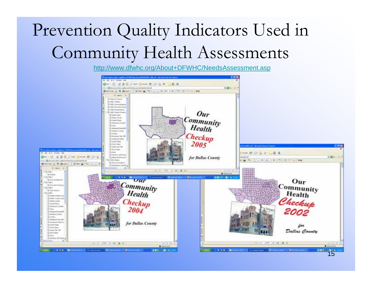# Prevention Quality Indicators Used in Community Health Assessments

http://www.dfwhc.org/About+DFWHC/NeedsAssessment.asp

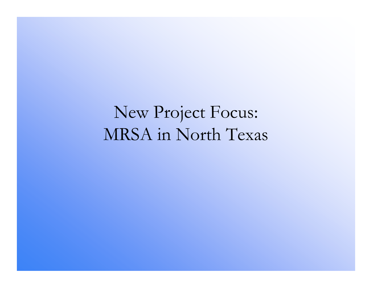New Project Focus: MRSA in North Texas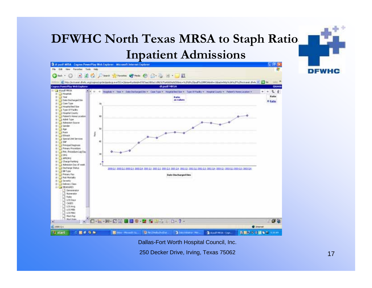## **DFWHC North Texas MRSA to Staph Ratios Inpatient Admissions**



Dallas-Fort Worth Hospital Council, Inc.

250 Decker Drive, Irving, Texas 75062

**DFWHC**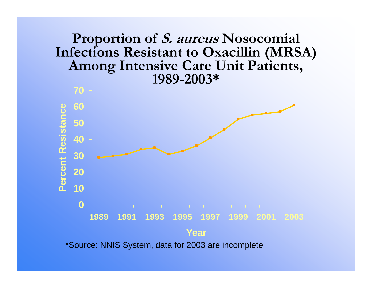### **Proportion of S. aureus Nosocomial Infections Resistant to Oxacillin (MRSA) Among Intensive Care Unit Patients, 1989-2003\***



\*Source: NNIS System, data for 2003 are incomplete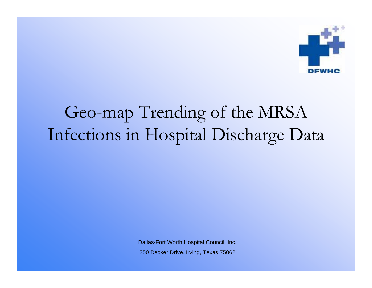

## Geo-map Trending of the MRSA Infections in Hospital Discharge Data

Dallas-Fort Worth Hospital Council, Inc. 250 Decker Drive, Irving, Texas 75062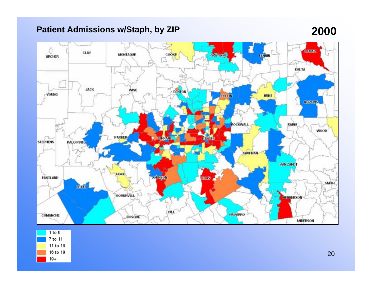### **Patient Admissions w/Staph, by ZIP 2000**

### Û **Lonnie CLAY** COOKE **CONSUL** MONTAGUE **ГАНИМ ARCHER** ß DELTA **JACK DENTON** WISE -YOUNG HUNT **COLLEG BORRINS ROCKWAL RAINS WOOD** PARKER **TANKING** ht. 100.1/49 **STEPHENS PALO PINTO** KAUFMAN **VANZANDT** HOOD **EASTLAND COLINSOR HOURS SMITH ERATH** SOMERVELL **HENRERSON** HILL **MAVARRO** СОМАНСИЕ **BOSOUE ANDERSON**

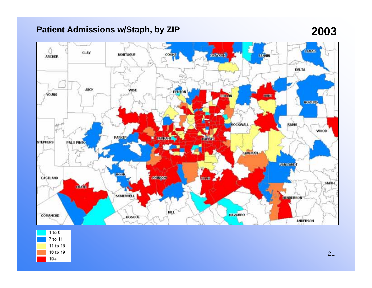### **Patient Admissions w/Staph, by ZIP 2003**

### Q **I AMAR** CLAY MONTAGUE **CEPTING** COONE **EANNIN ARCHER** ß DELTA **JACK** WISE DENTON -YOUNG **KBIZK! COOLER BORRINS RAINS ROCKWALL** WOOD. PARKER **MARRANT** Tur **1001-1745 STEPHENS PALO PINTO** KAUEMAN **VANZANDE** HOOD COLLEGED **BRIDGE** EASTLAND **SMITH CLAIN** SOMERVELL **L HENRERSON** HEL **MAVARRO** COMANCHE **BOSOUE** ANDERSON

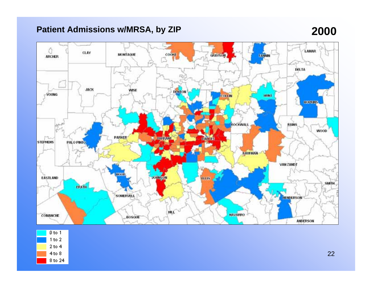### **Patient Admissions w/MRSA, by ZIP 2000**

### Q **LAMAR** CLAY MONTAGUE **GRAYSON** COOKE **ГАНИМ ARCHER** ß DELTA **JACK** DENTON WISE -YOUNG HUNT **COLLIN BORRINS RAINS ROCKWALL** WOOD. PARKER и начин π. **100.1.4% STEPHENS PALO PINTO KAUFMAN** VAN ZANDT HOOD JOHNSON HIB EASTLAND **SMITH** ERATH SOMERVELL **HENDERSON** HEL **MAVARRO** COMANCHE **BOSOUE** ANDERSON

| O to 1  |
|---------|
| 1 to 2  |
| 2 to 4  |
| 4 to 8  |
| 8 to 24 |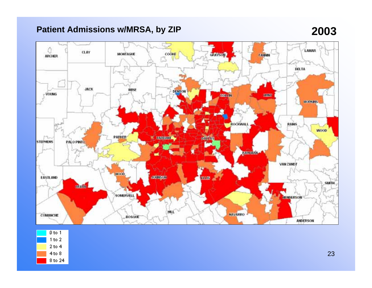### **Patient Admissions w/MRSA, by ZIP 2003**

### سما Q **LAMAR** CLAY MONTAGUE COOKE **GRAYSON FANNIN ARCHER** DELTA JACK WISE DENTON -YOUNG **CONTRACTOR KAZAY HORNINS ROCKWALL RAINS** WOOD. PARKER **ENSINEER IOB. 1759** m **STEPHENS** PALO PINTO **качнылы** VAN ZANDT **HOOD COLLEGE** EASTLAND **HOLDS SMITH EDATA** SOMERVELL **HENRERSON** HEL **MAVARRO** COMANCHE **BOSOUE** ANDERSON

| D to 1  |
|---------|
| 1 to 2  |
| 2 to 4  |
| 4 to 8  |
| 8 to 24 |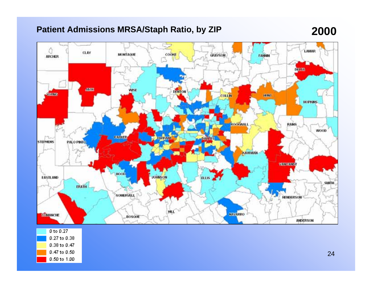### **Patient Admissions MRSA/Staph Ratio, by ZIP 2000**



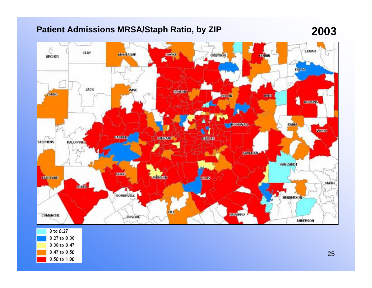### **Patient Admissions MRSA/Staph Ratio, by ZIP 2003**





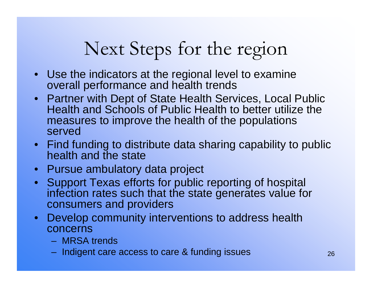# Next Steps for the region

- • Use the indicators at the regional level to examine overall performance and health trends
- $\bullet$  Partner with Dept of State Health Services, Local Public Health and Schools of Public Health to better utilize the measures to improve the health of the populations served
- Find funding to distribute data sharing capability to public health and the state
- $\bullet$ Pursue ambulatory data project
- $\bullet$  Support Texas efforts for public reporting of hospital infection rates such that the state generates value for consumers and providers
- $\bullet$  Develop community interventions to address health concerns
	- MRSA trends
	- Indigent care access to care & funding issues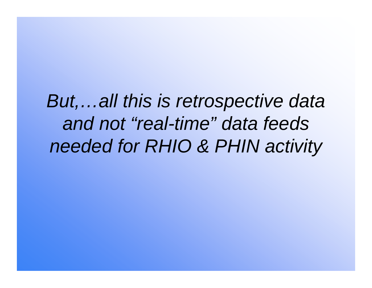*But,…all this is retrospective data and not "real-time" data feeds needed for RHIO & PHIN activity*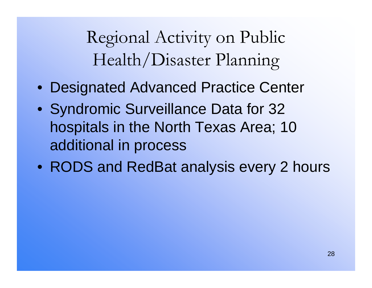Regional Activity on Public Health/Disaster Planning

- Designated Advanced Practice Center
- Syndromic Surveillance Data for 32 hospitals in the North Texas Area; 10 additional in process
- RODS and RedBat analysis every 2 hours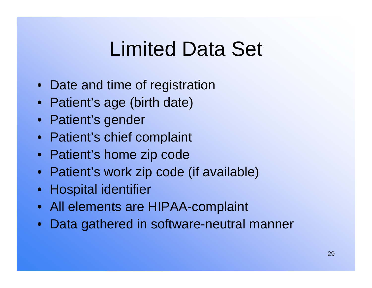# Limited Data Set

- Date and time of registration
- Patient's age (birth date)
- Patient's gender
- Patient's chief complaint
- Patient's home zip code
- Patient's work zip code (if available)
- Hospital identifier
- All elements are HIPAA-complaint
- Data gathered in software-neutral manner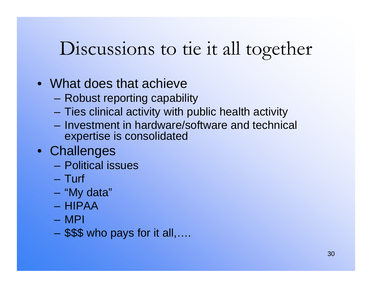# Discussions to tie it all together

- What does that achieve
	- –Robust reporting capability
	- –Ties clinical activity with public health activity
	- Investment in hardware/software and technical expertise is consolidated
- Challenges
	- Political issues
	- Turf
	- –"My data"
	- HIPAA
	- MPI
	- –\$\$\$ who pays for it all,….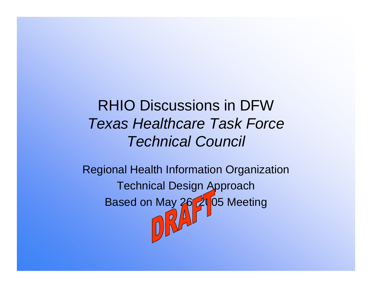RHIO Discussions in DFW*Texas Healthcare Task ForceTechnical Council*

Regional Health Information Organization Technical Design Approach Based on May 26, 21 05 Meeting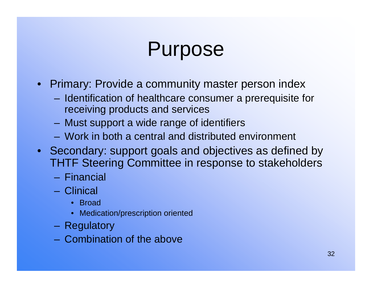# Purpose

- Primary: Provide a community master person index
	- Identification of healthcare consumer a prerequisite for receiving products and services
	- Must support a wide range of identifiers
	- Work in both a central and distributed environment
- Secondary: support goals and objectives as defined by THTF Steering Committee in response to stakeholders
	- Financial
	- Clinical
		- Broad
		- •Medication/prescription oriented
	- –Regulatory
	- Combination of the above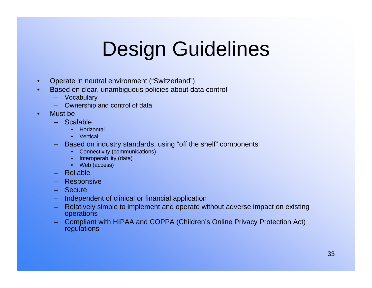# Design Guidelines

- •Operate in neutral environment ("Switzerland")
- • Based on clear, unambiguous policies about data control
	- Vocabulary
	- Ownership and control of data
- • Must be
	- Scalable
		- •**Horizontal**
		- Vertical
	- Based on industry standards, using "off the shelf" components
		- Connectivity (communications)
		- Interoperability (data)
		- Web (access)
	- Reliable
	- **Responsive**
	- Secure
	- –Independent of clinical or financial application
	- – Relatively simple to implement and operate without adverse impact on existing operations
	- Compliant with HIPAA and COPPA (Children's Online Privacy Protection Act) regulations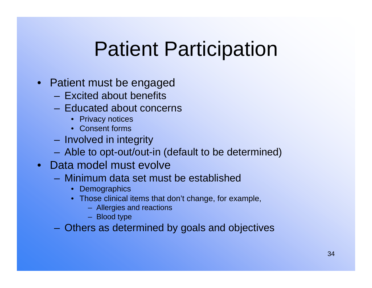# Patient Participation

- Patient must be engaged
	- Excited about benefits
	- Educated about concerns
		- Privacy notices
		- Consent forms
	- Involved in integrity
	- Able to opt-out/out-in (default to be determined)
- Data model must evolve
	- Minimum data set must be established
		- Demographics
		- Those clinical items that don't change, for example,
			- Allergies and reactions
			- Blood type

Others as determined by goals and objectives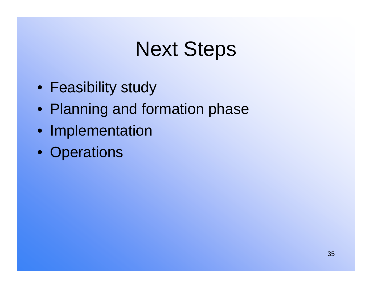# Next Steps

- Feasibility study
- Planning and formation phase
- Implementation
- Operations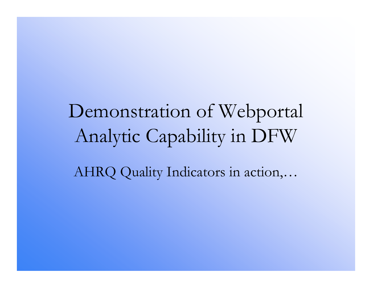Demonstration of Webportal Analytic Capability in DFW AHRQ Quality Indicators in action,…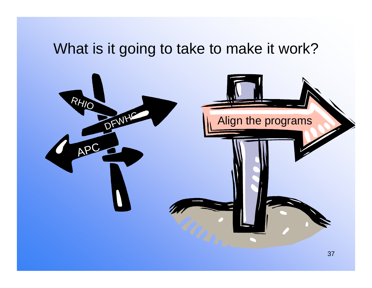## What is it going to take to make it work?